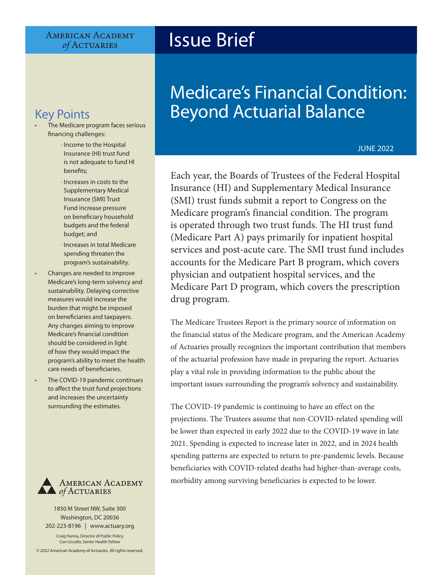#### **AMERICAN ACADEMY** of ACTUARIES

# Issue Brief

- The Medicare program faces serious financing challenges:
	- ‧ Income to the Hospital Insurance (HI) trust fund is not adequate to fund HI benefits;
	- ‧ Increases in costs to the Supplementary Medical Insurance (SMI) Trust Fund increase pressure on beneficiary household budgets and the federal budget; and
	- ‧ Increases in total Medicare spending threaten the program's sustainability.
- Changes are needed to improve Medicare's long-term solvency and sustainability. Delaying corrective measures would increase the burden that might be imposed on beneficiaries and taxpayers. Any changes aiming to improve Medicare's financial condition should be considered in light of how they would impact the program's ability to meet the health care needs of beneficiaries.
- The COVID-19 pandemic continues to affect the trust fund projections and increases the uncertainty surrounding the estimates.



1850 M Street NW, Suite 300 Washington, DC 20036 202-223-8196 | [www.actuary.org](http://actuary.org) Craig Hanna, Director of Public Policy Cori Uccello, Senior Health Fellow

© 2022 American Academy of Actuaries. All rights reserved.

# Medicare's Financial Condition: Key Points **Beyond Actuarial Balance**

#### JUNE 2022

Each year, the Boards of Trustees of the Federal Hospital Insurance (HI) and Supplementary Medical Insurance (SMI) trust funds submit a report to Congress on the Medicare program's financial condition. The program is operated through two trust funds. The HI trust fund (Medicare Part A) pays primarily for inpatient hospital services and post-acute care. The SMI trust fund includes accounts for the Medicare Part B program, which covers physician and outpatient hospital services, and the Medicare Part D program, which covers the prescription drug program.

The Medicare Trustees Report is the primary source of information on the financial status of the Medicare program, and the American Academy of Actuaries proudly recognizes the important contribution that members of the actuarial profession have made in preparing the report. Actuaries play a vital role in providing information to the public about the important issues surrounding the program's solvency and sustainability.

The COVID-19 pandemic is continuing to have an effect on the projections. The Trustees assume that non-COVID-related spending will be lower than expected in early 2022 due to the COVID-19 wave in late 2021. Spending is expected to increase later in 2022, and in 2024 health spending patterns are expected to return to pre-pandemic levels. Because beneficiaries with COVID-related deaths had higher-than-average costs, morbidity among surviving beneficiaries is expected to be lower.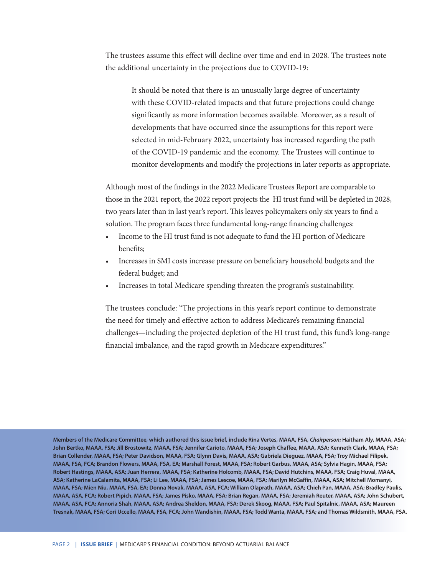The trustees assume this effect will decline over time and end in 2028. The trustees note the additional uncertainty in the projections due to COVID-19:

 It should be noted that there is an unusually large degree of uncertainty with these COVID-related impacts and that future projections could change significantly as more information becomes available. Moreover, as a result of developments that have occurred since the assumptions for this report were selected in mid-February 2022, uncertainty has increased regarding the path of the COVID-19 pandemic and the economy. The Trustees will continue to monitor developments and modify the projections in later reports as appropriate.

Although most of the findings in the 2022 Medicare Trustees Report are comparable to those in the 2021 report, the 2022 report projects the HI trust fund will be depleted in 2028, two years later than in last year's report. This leaves policymakers only six years to find a solution. The program faces three fundamental long-range financing challenges:

- Income to the HI trust fund is not adequate to fund the HI portion of Medicare benefits;
- Increases in SMI costs increase pressure on beneficiary household budgets and the federal budget; and
- Increases in total Medicare spending threaten the program's sustainability.

The trustees conclude: "The projections in this year's report continue to demonstrate the need for timely and effective action to address Medicare's remaining financial challenges—including the projected depletion of the HI trust fund, this fund's long-range financial imbalance, and the rapid growth in Medicare expenditures."

**Members of the Medicare Committee, which authored this issue brief, include Rina Vertes, MAAA, FSA,** *Chairperson***; Haitham Aly, MAAA, ASA; John Bertko, MAAA, FSA; Jill Brostowitz, MAAA, FSA; Jennifer Carioto, MAAA, FSA; Joseph Chaffee, MAAA, ASA; Kenneth Clark, MAAA, FSA; Brian Collender, MAAA, FSA; Peter Davidson, MAAA, FSA; Glynn Davis, MAAA, ASA; Gabriela Dieguez, MAAA, FSA; Troy Michael Filipek, MAAA, FSA, FCA; Brandon Flowers, MAAA, FSA, EA; Marshall Forest, MAAA, FSA; Robert Garbus, MAAA, ASA; Sylvia Hagin, MAAA, FSA; Robert Hastings, MAAA, ASA; Juan Herrera, MAAA, FSA; Katherine Holcomb, MAAA, FSA; David Hutchins, MAAA, FSA; Craig Huval, MAAA, ASA; Katherine LaCalamita, MAAA, FSA; Li Lee, MAAA, FSA; James Lescoe, MAAA, FSA; Marilyn McGaffin, MAAA, ASA; Mitchell Momanyi, MAAA, FSA; Mien Niu, MAAA, FSA, EA; Donna Novak, MAAA, ASA, FCA; William Olaprath, MAAA, ASA; Chieh Pan, MAAA, ASA; Bradley Paulis, MAAA, ASA, FCA; Robert Pipich, MAAA, FSA; James Pisko, MAAA, FSA; Brian Regan, MAAA, FSA; Jeremiah Reuter, MAAA, ASA; John Schubert, MAAA, ASA, FCA; Annoria Shah, MAAA, ASA; Andrea Sheldon, MAAA, FSA; Derek Skoog, MAAA, FSA; Paul Spitalnic, MAAA, ASA; Maureen Tresnak, MAAA, FSA; Cori Uccello, MAAA, FSA, FCA; John Wandishin, MAAA, FSA; Todd Wanta, MAAA, FSA; and Thomas Wildsmith, MAAA, FSA.**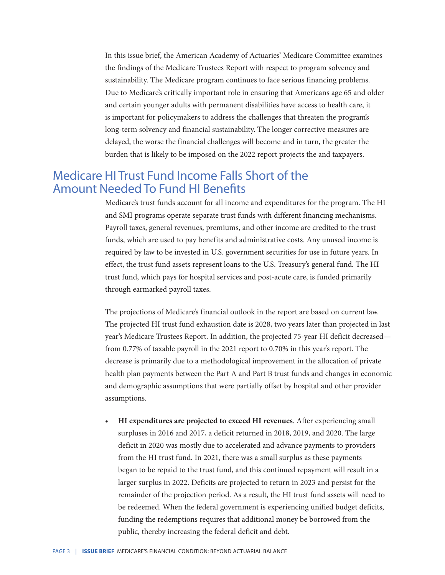In this issue brief, the American Academy of Actuaries' Medicare Committee examines the findings of the Medicare Trustees Report with respect to program solvency and sustainability. The Medicare program continues to face serious financing problems. Due to Medicare's critically important role in ensuring that Americans age 65 and older and certain younger adults with permanent disabilities have access to health care, it is important for policymakers to address the challenges that threaten the program's long-term solvency and financial sustainability. The longer corrective measures are delayed, the worse the financial challenges will become and in turn, the greater the burden that is likely to be imposed on the 2022 report projects the and taxpayers.

### Medicare HI Trust Fund Income Falls Short of the Amount Needed To Fund HI Benefits

Medicare's trust funds account for all income and expenditures for the program. The HI and SMI programs operate separate trust funds with different financing mechanisms. Payroll taxes, general revenues, premiums, and other income are credited to the trust funds, which are used to pay benefits and administrative costs. Any unused income is required by law to be invested in U.S. government securities for use in future years. In effect, the trust fund assets represent loans to the U.S. Treasury's general fund. The HI trust fund, which pays for hospital services and post-acute care, is funded primarily through earmarked payroll taxes.

The projections of Medicare's financial outlook in the report are based on current law. The projected HI trust fund exhaustion date is 2028, two years later than projected in last year's Medicare Trustees Report. In addition, the projected 75-year HI deficit decreased from 0.77% of taxable payroll in the 2021 report to 0.70% in this year's report. The decrease is primarily due to a methodological improvement in the allocation of private health plan payments between the Part A and Part B trust funds and changes in economic and demographic assumptions that were partially offset by hospital and other provider assumptions.

**• HI expenditures are projected to exceed HI revenues**. After experiencing small surpluses in 2016 and 2017, a deficit returned in 2018, 2019, and 2020. The large deficit in 2020 was mostly due to accelerated and advance payments to providers from the HI trust fund. In 2021, there was a small surplus as these payments began to be repaid to the trust fund, and this continued repayment will result in a larger surplus in 2022. Deficits are projected to return in 2023 and persist for the remainder of the projection period. As a result, the HI trust fund assets will need to be redeemed. When the federal government is experiencing unified budget deficits, funding the redemptions requires that additional money be borrowed from the public, thereby increasing the federal deficit and debt.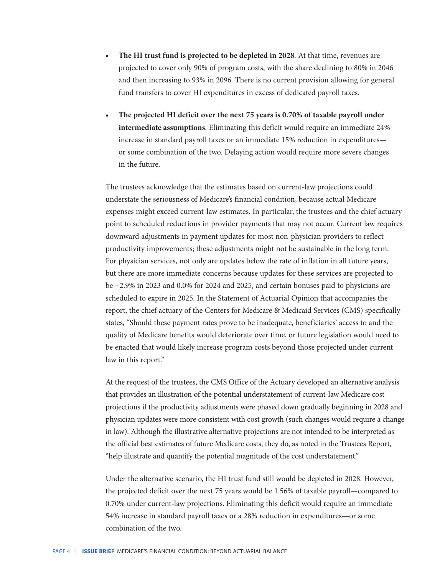- **• The HI trust fund is projected to be depleted in 2028**. At that time, revenues are projected to cover only 90% of program costs, with the share declining to 80% in 2046 and then increasing to 93% in 2096. There is no current provision allowing for general fund transfers to cover HI expenditures in excess of dedicated payroll taxes.
- **• The projected HI deficit over the next 75 years is 0.70% of taxable payroll under intermediate assumptions**. Eliminating this deficit would require an immediate 24% increase in standard payroll taxes or an immediate 15% reduction in expenditures or some combination of the two. Delaying action would require more severe changes in the future.

The trustees acknowledge that the estimates based on current-law projections could understate the seriousness of Medicare's financial condition, because actual Medicare expenses might exceed current-law estimates. In particular, the trustees and the chief actuary point to scheduled reductions in provider payments that may not occur. Current law requires downward adjustments in payment updates for most non-physician providers to reflect productivity improvements; these adjustments might not be sustainable in the long term. For physician services, not only are updates below the rate of inflation in all future years, but there are more immediate concerns because updates for these services are projected to be −2.9% in 2023 and 0.0% for 2024 and 2025, and certain bonuses paid to physicians are scheduled to expire in 2025. In the Statement of Actuarial Opinion that accompanies the report, the chief actuary of the Centers for Medicare & Medicaid Services (CMS) specifically states, "Should these payment rates prove to be inadequate, beneficiaries' access to and the quality of Medicare benefits would deteriorate over time, or future legislation would need to be enacted that would likely increase program costs beyond those projected under current law in this report."

At the request of the trustees, the CMS Office of the Actuary developed an alternative analysis that provides an illustration of the potential understatement of current-law Medicare cost projections if the productivity adjustments were phased down gradually beginning in 2028 and physician updates were more consistent with cost growth (such changes would require a change in law). Although the illustrative alternative projections are not intended to be interpreted as the official best estimates of future Medicare costs, they do, as noted in the Trustees Report, "help illustrate and quantify the potential magnitude of the cost understatement."

Under the alternative scenario, the HI trust fund still would be depleted in 2028. However, the projected deficit over the next 75 years would be 1.56% of taxable payroll—compared to 0.70% under current-law projections. Eliminating this deficit would require an immediate 54% increase in standard payroll taxes or a 28% reduction in expenditures—or some combination of the two.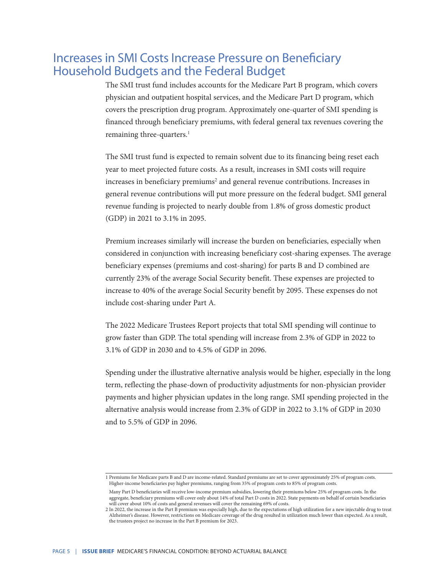## Increases in SMI Costs Increase Pressure on Beneficiary Household Budgets and the Federal Budget

The SMI trust fund includes accounts for the Medicare Part B program, which covers physician and outpatient hospital services, and the Medicare Part D program, which covers the prescription drug program. Approximately one-quarter of SMI spending is financed through beneficiary premiums, with federal general tax revenues covering the remaining three-quarters.<sup>1</sup>

The SMI trust fund is expected to remain solvent due to its financing being reset each year to meet projected future costs. As a result, increases in SMI costs will require increases in beneficiary premiums<sup>2</sup> and general revenue contributions. Increases in general revenue contributions will put more pressure on the federal budget. SMI general revenue funding is projected to nearly double from 1.8% of gross domestic product (GDP) in 2021 to 3.1% in 2095.

Premium increases similarly will increase the burden on beneficiaries, especially when considered in conjunction with increasing beneficiary cost-sharing expenses. The average beneficiary expenses (premiums and cost-sharing) for parts B and D combined are currently 23% of the average Social Security benefit. These expenses are projected to increase to 40% of the average Social Security benefit by 2095. These expenses do not include cost-sharing under Part A.

The 2022 Medicare Trustees Report projects that total SMI spending will continue to grow faster than GDP. The total spending will increase from 2.3% of GDP in 2022 to 3.1% of GDP in 2030 and to 4.5% of GDP in 2096.

Spending under the illustrative alternative analysis would be higher, especially in the long term, reflecting the phase-down of productivity adjustments for non-physician provider payments and higher physician updates in the long range. SMI spending projected in the alternative analysis would increase from 2.3% of GDP in 2022 to 3.1% of GDP in 2030 and to 5.5% of GDP in 2096.

<sup>1</sup> Premiums for Medicare parts B and D are income-related. Standard premiums are set to cover approximately 25% of program costs. Higher-income beneficiaries pay higher premiums, ranging from 35% of program costs to 85% of program costs.

Many Part D beneficiaries will receive low-income premium subsidies, lowering their premiums below 25% of program costs. In the aggregate, beneficiary premiums will cover only about 14% of total Part D costs in 2022. State payments on behalf of certain beneficiaries will cover about 10% of costs and general revenues will cover the remaining 69% of costs.

<sup>2</sup> In 2022, the increase in the Part B premium was especially high, due to the expectations of high utilization for a new injectable drug to treat Alzheimer's disease. However, restrictions on Medicare coverage of the drug resulted in utilization much lower than expected. As a result, the trustees project no increase in the Part B premium for 2023.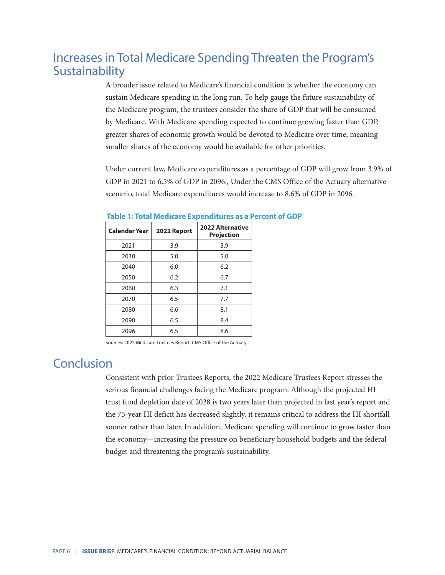# Increases in Total Medicare Spending Threaten the Program's Sustainability

A broader issue related to Medicare's financial condition is whether the economy can sustain Medicare spending in the long run. To help gauge the future sustainability of the Medicare program, the trustees consider the share of GDP that will be consumed by Medicare. With Medicare spending expected to continue growing faster than GDP, greater shares of economic growth would be devoted to Medicare over time, meaning smaller shares of the economy would be available for other priorities.

Under current law, Medicare expenditures as a percentage of GDP will grow from 3.9% of GDP in 2021 to 6.5% of GDP in 2096., Under the CMS Office of the Actuary alternative scenario, total Medicare expenditures would increase to 8.6% of GDP in 2096.

| Calendar Year | 2022 Report | 2022 Alternative<br><b>Projection</b> |
|---------------|-------------|---------------------------------------|
| 2021          | 3.9         | 3.9                                   |
| 2030          | 5.0         | 5.0                                   |
| 2040          | 6.0         | 6.2                                   |
| 2050          | 6.2         | 6.7                                   |
| 2060          | 6.3         | 7.1                                   |
| 2070          | 6.5         | 7.7                                   |
| 2080          | 6.6         | 8.1                                   |
| 2090          | 6.5         | 8.4                                   |
| 2096          | 6.5         | 8.6                                   |

#### **Table 1: Total Medicare Expenditures as a Percent of GDP**

Sources: 2022 Medicare Trustees Report, CMS Office of the Actuary

## **Conclusion**

Consistent with prior Trustees Reports, the 2022 Medicare Trustees Report stresses the serious financial challenges facing the Medicare program. Although the projected HI trust fund depletion date of 2028 is two years later than projected in last year's report and the 75-year HI deficit has decreased slightly, it remains critical to address the HI shortfall sooner rather than later. In addition, Medicare spending will continue to grow faster than the economy—increasing the pressure on beneficiary household budgets and the federal budget and threatening the program's sustainability.